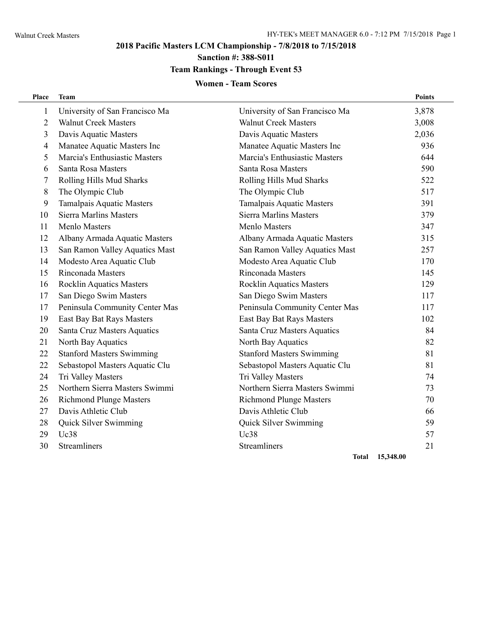L.

### **2018 Pacific Masters LCM Championship - 7/8/2018 to 7/15/2018**

## **Sanction #: 388-S011**

### **Team Rankings - Through Event 53**

#### **Women - Team Scores**

| Place          | <b>Team</b>                      |                                  | <b>Points</b> |
|----------------|----------------------------------|----------------------------------|---------------|
| $\mathbf{1}$   | University of San Francisco Ma   | University of San Francisco Ma   | 3,878         |
| $\overline{2}$ | <b>Walnut Creek Masters</b>      | <b>Walnut Creek Masters</b>      | 3,008         |
| 3              | Davis Aquatic Masters            | Davis Aquatic Masters            | 2,036         |
| 4              | Manatee Aquatic Masters Inc      | Manatee Aquatic Masters Inc      | 936           |
| 5              | Marcia's Enthusiastic Masters    | Marcia's Enthusiastic Masters    | 644           |
| 6              | Santa Rosa Masters               | Santa Rosa Masters               | 590           |
| 7              | Rolling Hills Mud Sharks         | Rolling Hills Mud Sharks         | 522           |
| 8              | The Olympic Club                 | The Olympic Club                 | 517           |
| 9              | <b>Tamalpais Aquatic Masters</b> | <b>Tamalpais Aquatic Masters</b> | 391           |
| 10             | <b>Sierra Marlins Masters</b>    | <b>Sierra Marlins Masters</b>    | 379           |
| 11             | Menlo Masters                    | Menlo Masters                    | 347           |
| 12             | Albany Armada Aquatic Masters    | Albany Armada Aquatic Masters    | 315           |
| 13             | San Ramon Valley Aquatics Mast   | San Ramon Valley Aquatics Mast   | 257           |
| 14             | Modesto Area Aquatic Club        | Modesto Area Aquatic Club        | 170           |
| 15             | Rinconada Masters                | Rinconada Masters                | 145           |
| 16             | <b>Rocklin Aquatics Masters</b>  | <b>Rocklin Aquatics Masters</b>  | 129           |
| 17             | San Diego Swim Masters           | San Diego Swim Masters           | 117           |
| 17             | Peninsula Community Center Mas   | Peninsula Community Center Mas   | 117           |
| 19             | East Bay Bat Rays Masters        | East Bay Bat Rays Masters        | 102           |
| 20             | Santa Cruz Masters Aquatics      | Santa Cruz Masters Aquatics      | 84            |
| 21             | North Bay Aquatics               | North Bay Aquatics               | 82            |
| 22             | <b>Stanford Masters Swimming</b> | <b>Stanford Masters Swimming</b> | 81            |
| 22             | Sebastopol Masters Aquatic Clu   | Sebastopol Masters Aquatic Clu   | 81            |
| 24             | Tri Valley Masters               | Tri Valley Masters               | 74            |
| 25             | Northern Sierra Masters Swimmi   | Northern Sierra Masters Swimmi   | 73            |
| 26             | <b>Richmond Plunge Masters</b>   | <b>Richmond Plunge Masters</b>   | 70            |
| 27             | Davis Athletic Club              | Davis Athletic Club              | 66            |
| 28             | Quick Silver Swimming            | Quick Silver Swimming            | 59            |
| 29             | <b>Uc38</b>                      | Uc38                             | 57            |
| 30             | Streamliners                     | <b>Streamliners</b>              | 21            |
|                |                                  |                                  |               |

**Total 15,348.00**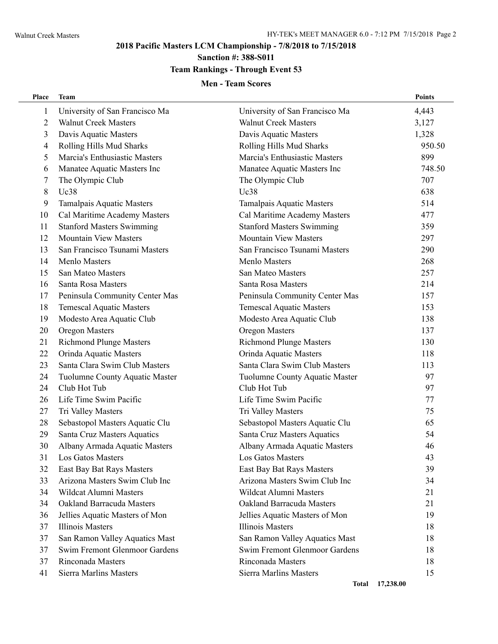L.

# **2018 Pacific Masters LCM Championship - 7/8/2018 to 7/15/2018**

# **Sanction #: 388-S011**

### **Team Rankings - Through Event 53**

#### **Men - Team Scores**

| Place          | <b>Team</b>                      |                                  | <b>Points</b> |
|----------------|----------------------------------|----------------------------------|---------------|
| $\mathbf{1}$   | University of San Francisco Ma   | University of San Francisco Ma   | 4,443         |
| $\overline{2}$ | <b>Walnut Creek Masters</b>      | <b>Walnut Creek Masters</b>      | 3,127         |
| 3              | Davis Aquatic Masters            | Davis Aquatic Masters            | 1,328         |
| 4              | Rolling Hills Mud Sharks         | Rolling Hills Mud Sharks         | 950.50        |
| 5              | Marcia's Enthusiastic Masters    | Marcia's Enthusiastic Masters    | 899           |
| 6              | Manatee Aquatic Masters Inc      | Manatee Aquatic Masters Inc      | 748.50        |
| 7              | The Olympic Club                 | The Olympic Club                 | 707           |
| 8              | Uc38                             | <b>Uc38</b>                      | 638           |
| 9              | Tamalpais Aquatic Masters        | Tamalpais Aquatic Masters        | 514           |
| 10             | Cal Maritime Academy Masters     | Cal Maritime Academy Masters     | 477           |
| 11             | <b>Stanford Masters Swimming</b> | <b>Stanford Masters Swimming</b> | 359           |
| 12             | <b>Mountain View Masters</b>     | <b>Mountain View Masters</b>     | 297           |
| 13             | San Francisco Tsunami Masters    | San Francisco Tsunami Masters    | 290           |
| 14             | <b>Menlo Masters</b>             | Menlo Masters                    | 268           |
| 15             | San Mateo Masters                | San Mateo Masters                | 257           |
| 16             | Santa Rosa Masters               | Santa Rosa Masters               | 214           |
| 17             | Peninsula Community Center Mas   | Peninsula Community Center Mas   | 157           |
| 18             | <b>Temescal Aquatic Masters</b>  | <b>Temescal Aquatic Masters</b>  | 153           |
| 19             | Modesto Area Aquatic Club        | Modesto Area Aquatic Club        | 138           |
| 20             | Oregon Masters                   | Oregon Masters                   | 137           |
| 21             | <b>Richmond Plunge Masters</b>   | <b>Richmond Plunge Masters</b>   | 130           |
| 22             | Orinda Aquatic Masters           | Orinda Aquatic Masters           | 118           |
| 23             | Santa Clara Swim Club Masters    | Santa Clara Swim Club Masters    | 113           |
| 24             | Tuolumne County Aquatic Master   | Tuolumne County Aquatic Master   | 97            |
| 24             | Club Hot Tub                     | Club Hot Tub                     | 97            |
| 26             | Life Time Swim Pacific           | Life Time Swim Pacific           | 77            |
| 27             | Tri Valley Masters               | Tri Valley Masters               | 75            |
| 28             | Sebastopol Masters Aquatic Clu   | Sebastopol Masters Aquatic Clu   | 65            |
| 29             | Santa Cruz Masters Aquatics      | Santa Cruz Masters Aquatics      | 54            |
| 30             | Albany Armada Aquatic Masters    | Albany Armada Aquatic Masters    | 46            |
| 31             | Los Gatos Masters                | Los Gatos Masters                | 43            |
| 32             | East Bay Bat Rays Masters        | East Bay Bat Rays Masters        | 39            |
| 33             | Arizona Masters Swim Club Inc    | Arizona Masters Swim Club Inc    | 34            |
| 34             | Wildcat Alumni Masters           | Wildcat Alumni Masters           | 21            |
| 34             | Oakland Barracuda Masters        | <b>Oakland Barracuda Masters</b> | 21            |
| 36             | Jellies Aquatic Masters of Mon   | Jellies Aquatic Masters of Mon   | 19            |
| 37             | Illinois Masters                 | <b>Illinois Masters</b>          | 18            |
| 37             | San Ramon Valley Aquatics Mast   | San Ramon Valley Aquatics Mast   | 18            |
| 37             | Swim Fremont Glenmoor Gardens    | Swim Fremont Glenmoor Gardens    | 18            |
| 37             | Rinconada Masters                | Rinconada Masters                | 18            |
| 41             | Sierra Marlins Masters           | Sierra Marlins Masters           | 15            |
|                |                                  | Total 17,238.00                  |               |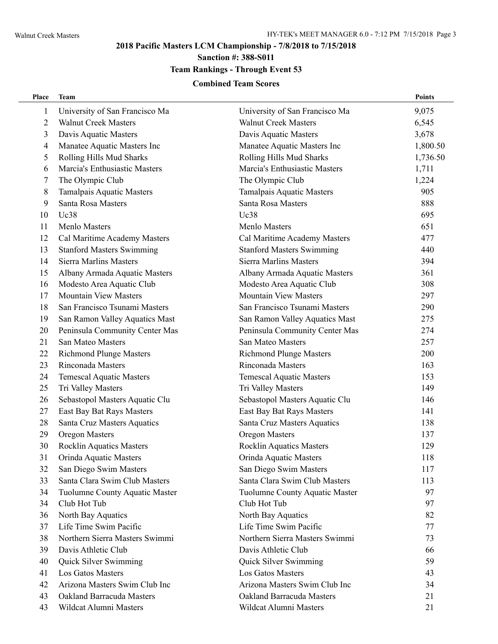### **2018 Pacific Masters LCM Championship - 7/8/2018 to 7/15/2018**

**Sanction #: 388-S011**

# **Team Rankings - Through Event 53**

#### **Combined Team Scores**

| Place          | <b>Team</b>                      |                                  | Points   |
|----------------|----------------------------------|----------------------------------|----------|
| 1              | University of San Francisco Ma   | University of San Francisco Ma   | 9,075    |
| $\overline{c}$ | <b>Walnut Creek Masters</b>      | <b>Walnut Creek Masters</b>      | 6,545    |
| 3              | Davis Aquatic Masters            | Davis Aquatic Masters            | 3,678    |
| 4              | Manatee Aquatic Masters Inc      | Manatee Aquatic Masters Inc      | 1,800.50 |
| 5              | Rolling Hills Mud Sharks         | Rolling Hills Mud Sharks         | 1,736.50 |
| 6              | Marcia's Enthusiastic Masters    | Marcia's Enthusiastic Masters    | 1,711    |
| 7              | The Olympic Club                 | The Olympic Club                 | 1,224    |
| 8              | Tamalpais Aquatic Masters        | Tamalpais Aquatic Masters        | 905      |
| 9              | Santa Rosa Masters               | Santa Rosa Masters               | 888      |
| 10             | Uc38                             | <b>Uc38</b>                      | 695      |
| 11             | Menlo Masters                    | Menlo Masters                    | 651      |
| 12             | Cal Maritime Academy Masters     | Cal Maritime Academy Masters     | 477      |
| 13             | <b>Stanford Masters Swimming</b> | <b>Stanford Masters Swimming</b> | 440      |
| 14             | <b>Sierra Marlins Masters</b>    | Sierra Marlins Masters           | 394      |
| 15             | Albany Armada Aquatic Masters    | Albany Armada Aquatic Masters    | 361      |
| 16             | Modesto Area Aquatic Club        | Modesto Area Aquatic Club        | 308      |
| 17             | <b>Mountain View Masters</b>     | <b>Mountain View Masters</b>     | 297      |
| 18             | San Francisco Tsunami Masters    | San Francisco Tsunami Masters    | 290      |
| 19             | San Ramon Valley Aquatics Mast   | San Ramon Valley Aquatics Mast   | 275      |
| 20             | Peninsula Community Center Mas   | Peninsula Community Center Mas   | 274      |
| 21             | San Mateo Masters                | San Mateo Masters                | 257      |
| 22             | <b>Richmond Plunge Masters</b>   | <b>Richmond Plunge Masters</b>   | 200      |
| 23             | Rinconada Masters                | Rinconada Masters                | 163      |
| 24             | <b>Temescal Aquatic Masters</b>  | <b>Temescal Aquatic Masters</b>  | 153      |
| 25             | Tri Valley Masters               | Tri Valley Masters               | 149      |
| 26             | Sebastopol Masters Aquatic Clu   | Sebastopol Masters Aquatic Clu   | 146      |
| 27             | East Bay Bat Rays Masters        | East Bay Bat Rays Masters        | 141      |
| 28             | Santa Cruz Masters Aquatics      | Santa Cruz Masters Aquatics      | 138      |
| 29             | Oregon Masters                   | Oregon Masters                   | 137      |
| 30             | Rocklin Aquatics Masters         | <b>Rocklin Aquatics Masters</b>  | 129      |
| 31             | Orinda Aquatic Masters           | Orinda Aquatic Masters           | 118      |
| 32             | San Diego Swim Masters           | San Diego Swim Masters           | 117      |
| 33             | Santa Clara Swim Club Masters    | Santa Clara Swim Club Masters    | 113      |
| 34             | Tuolumne County Aquatic Master   | Tuolumne County Aquatic Master   | 97       |
| 34             | Club Hot Tub                     | Club Hot Tub                     | 97       |
| 36             | North Bay Aquatics               | North Bay Aquatics               | 82       |
| 37             | Life Time Swim Pacific           | Life Time Swim Pacific           | 77       |
| 38             | Northern Sierra Masters Swimmi   | Northern Sierra Masters Swimmi   | 73       |
| 39             | Davis Athletic Club              | Davis Athletic Club              | 66       |
| 40             | Quick Silver Swimming            | Quick Silver Swimming            | 59       |
| 41             | Los Gatos Masters                | Los Gatos Masters                | 43       |
| 42             | Arizona Masters Swim Club Inc    | Arizona Masters Swim Club Inc    | 34       |
| 43             | Oakland Barracuda Masters        | <b>Oakland Barracuda Masters</b> | 21       |
| 43             | Wildcat Alumni Masters           | Wildcat Alumni Masters           | 21       |